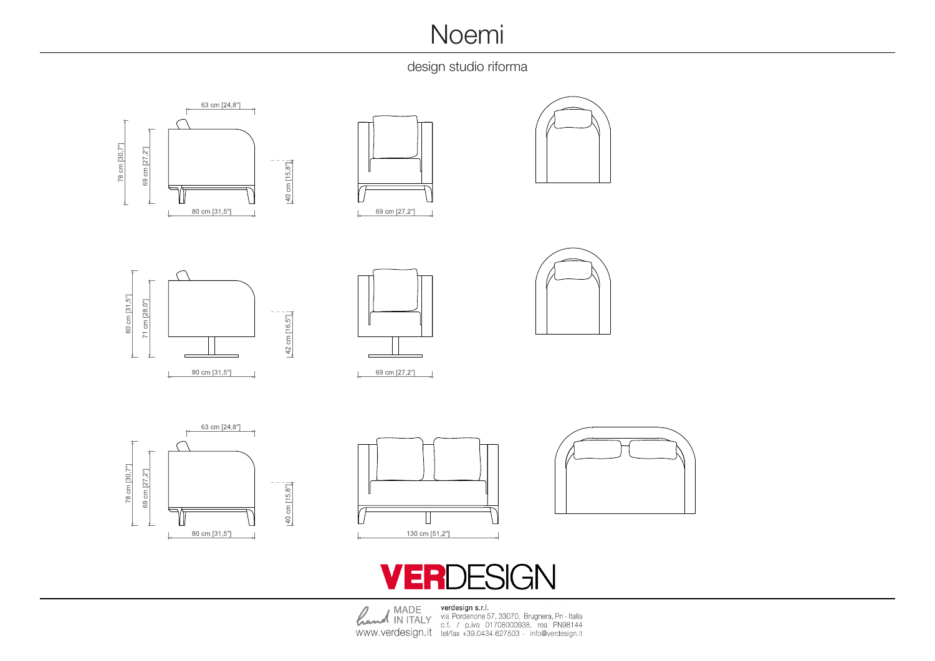## **Noemi**

design studio riforma